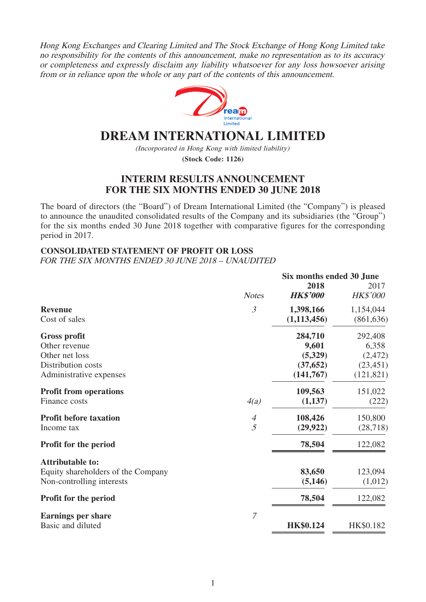Hong Kong Exchanges and Clearing Limited and The Stock Exchange of Hong Kong Limited take no responsibility for the contents of this announcement, make no representation as to its accuracy or completeness and expressly disclaim any liability whatsoever for any loss howsoever arising from or in reliance upon the whole or any part of the contents of this announcement.



# **DREAM INTERNATIONAL LIMITED**

(Incorporated in Hong Kong with limited liability) **(Stock Code: 1126)**

# **INTERIM RESULTS ANNOUNCEMENT FOR THE SIX MONTHS ENDED 30 JUNE 2018**

The board of directors (the "Board") of Dream International Limited (the "Company") is pleased to announce the unaudited consolidated results of the Company and its subsidiaries (the "Group") for the six months ended 30 June 2018 together with comparative figures for the corresponding period in 2017.

# **CONSOLIDATED STATEMENT OF PROFIT OR LOSS**

FOR THE SIX MONTHS ENDED 30 JUNE 2018 – UNAUDITED

|                                    |                          | Six months ended 30 June |                 |
|------------------------------------|--------------------------|--------------------------|-----------------|
|                                    |                          | 2018                     | 2017            |
|                                    | <b>Notes</b>             | <b>HK\$'000</b>          | <b>HK\$'000</b> |
| <b>Revenue</b>                     | $\mathfrak{Z}$           | 1,398,166                | 1,154,044       |
| Cost of sales                      |                          | (1, 113, 456)            | (861, 636)      |
| <b>Gross profit</b>                |                          | 284,710                  | 292,408         |
| Other revenue                      |                          | 9,601                    | 6,358           |
| Other net loss                     |                          | (5,329)                  | (2, 472)        |
| Distribution costs                 |                          | (37, 652)                | (23, 451)       |
| Administrative expenses            |                          | (141,767)                | (121, 821)      |
| <b>Profit from operations</b>      |                          | 109,563                  | 151,022         |
| Finance costs                      | 4(a)                     | (1,137)                  | (222)           |
| <b>Profit before taxation</b>      | $\overline{\mathcal{A}}$ | 108,426                  | 150,800         |
| Income tax                         | 5                        | (29, 922)                | (28, 718)       |
| Profit for the period              |                          | 78,504                   | 122,082         |
| <b>Attributable to:</b>            |                          |                          |                 |
| Equity shareholders of the Company |                          | 83,650                   | 123,094         |
| Non-controlling interests          |                          | (5, 146)                 | (1,012)         |
| Profit for the period              |                          | 78,504                   | 122,082         |
| <b>Earnings per share</b>          | $\overline{7}$           |                          |                 |
| Basic and diluted                  |                          | <b>HK\$0.124</b>         | HK\$0.182       |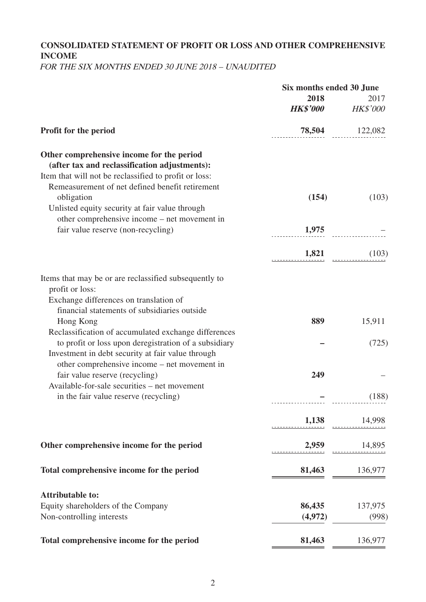# **CONSOLIDATED STATEMENT OF PROFIT OR LOSS AND OTHER COMPREHENSIVE INCOME**

FOR THE SIX MONTHS ENDED 30 JUNE 2018 – UNAUDITED

|                                                                                                   | Six months ended 30 June |                         |  |
|---------------------------------------------------------------------------------------------------|--------------------------|-------------------------|--|
|                                                                                                   | 2018<br><b>HK\$'000</b>  | 2017<br><b>HK\$'000</b> |  |
| Profit for the period                                                                             |                          | 78,504 122,082          |  |
| Other comprehensive income for the period<br>(after tax and reclassification adjustments):        |                          |                         |  |
| Item that will not be reclassified to profit or loss:                                             |                          |                         |  |
| Remeasurement of net defined benefit retirement                                                   |                          |                         |  |
| obligation                                                                                        | (154)                    | (103)                   |  |
| Unlisted equity security at fair value through                                                    |                          |                         |  |
| other comprehensive income – net movement in                                                      |                          |                         |  |
| fair value reserve (non-recycling)                                                                | 1,975                    |                         |  |
|                                                                                                   | 1,821                    | (103)                   |  |
|                                                                                                   |                          |                         |  |
| Items that may be or are reclassified subsequently to                                             |                          |                         |  |
| profit or loss:                                                                                   |                          |                         |  |
| Exchange differences on translation of                                                            |                          |                         |  |
| financial statements of subsidiaries outside                                                      |                          |                         |  |
| Hong Kong                                                                                         | 889                      | 15,911                  |  |
| Reclassification of accumulated exchange differences                                              |                          |                         |  |
| to profit or loss upon deregistration of a subsidiary                                             |                          | (725)                   |  |
| Investment in debt security at fair value through<br>other comprehensive income – net movement in |                          |                         |  |
| fair value reserve (recycling)                                                                    | 249                      |                         |  |
| Available-for-sale securities – net movement                                                      |                          |                         |  |
| in the fair value reserve (recycling)                                                             |                          | (188)                   |  |
|                                                                                                   |                          |                         |  |
|                                                                                                   | 1,138                    | 14,998                  |  |
|                                                                                                   |                          |                         |  |
| Other comprehensive income for the period                                                         | 2,959                    | 14,895                  |  |
|                                                                                                   |                          |                         |  |
| Total comprehensive income for the period                                                         | 81,463                   | 136,977                 |  |
| <b>Attributable to:</b>                                                                           |                          |                         |  |
| Equity shareholders of the Company                                                                | 86,435                   | 137,975                 |  |
| Non-controlling interests                                                                         | (4,972)                  | (998)                   |  |
|                                                                                                   |                          |                         |  |
| Total comprehensive income for the period                                                         | 81,463                   | 136,977                 |  |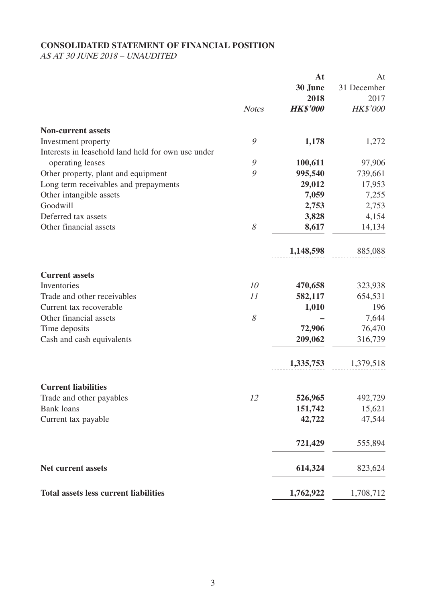# **CONSOLIDATED STATEMENT OF FINANCIAL POSITION**

AS AT 30 JUNE 2018 – UNAUDITED

|                                                                        |               | At              | At              |
|------------------------------------------------------------------------|---------------|-----------------|-----------------|
|                                                                        |               | 30 June         | 31 December     |
|                                                                        |               | 2018            | 2017            |
|                                                                        | <b>Notes</b>  | <b>HK\$'000</b> | <b>HK\$'000</b> |
| <b>Non-current assets</b>                                              |               |                 |                 |
| Investment property                                                    | 9             | 1,178           | 1,272           |
| Interests in leasehold land held for own use under<br>operating leases | $\mathcal{G}$ | 100,611         | 97,906          |
| Other property, plant and equipment                                    | 9             | 995,540         | 739,661         |
| Long term receivables and prepayments                                  |               | 29,012          | 17,953          |
| Other intangible assets                                                |               | 7,059           | 7,255           |
| Goodwill                                                               |               | 2,753           | 2,753           |
| Deferred tax assets                                                    |               | 3,828           | 4,154           |
| Other financial assets                                                 | 8             | 8,617           | 14,134          |
|                                                                        |               | 1,148,598       | 885,088         |
| <b>Current assets</b>                                                  |               |                 |                 |
| Inventories                                                            | 10            | 470,658         | 323,938         |
| Trade and other receivables                                            | 11            | 582,117         | 654,531         |
| Current tax recoverable                                                |               | 1,010           | 196             |
| Other financial assets                                                 | $\mathcal S$  |                 | 7,644           |
| Time deposits                                                          |               | 72,906          | 76,470          |
| Cash and cash equivalents                                              |               | 209,062         | 316,739         |
|                                                                        |               | 1,335,753       | 1,379,518       |
| <b>Current liabilities</b>                                             |               |                 |                 |
| Trade and other payables                                               | 12            | 526,965         | 492,729         |
| <b>Bank</b> loans                                                      |               | 151,742         | 15,621          |
| Current tax payable                                                    |               | 42,722          | 47,544          |
|                                                                        |               | 721,429         | 555,894         |
| <b>Net current assets</b>                                              |               | 614,324         | 823,624         |
| <b>Total assets less current liabilities</b>                           |               | 1,762,922       | 1,708,712       |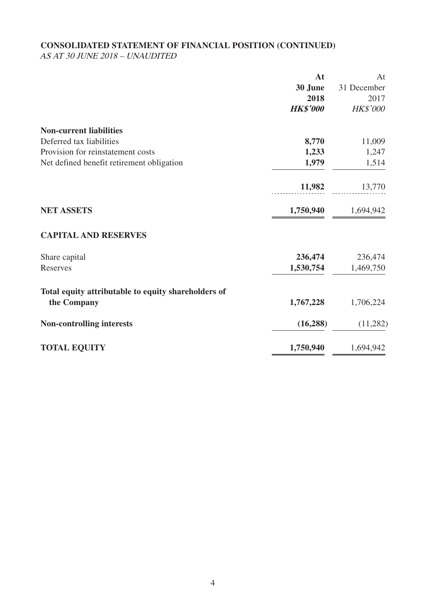# **CONSOLIDATED STATEMENT OF FINANCIAL POSITION (CONTINUED)**

AS AT 30 JUNE 2018 – UNAUDITED

|                                                     | At              | At          |
|-----------------------------------------------------|-----------------|-------------|
|                                                     | 30 June         | 31 December |
|                                                     | 2018            | 2017        |
|                                                     | <b>HK\$'000</b> | HK\$'000    |
| <b>Non-current liabilities</b>                      |                 |             |
| Deferred tax liabilities                            | 8,770           | 11,009      |
| Provision for reinstatement costs                   | 1,233           | 1,247       |
| Net defined benefit retirement obligation           | 1,979           | 1,514       |
|                                                     | 11,982          | 13,770      |
| <b>NET ASSETS</b>                                   | 1,750,940       | 1,694,942   |
| <b>CAPITAL AND RESERVES</b>                         |                 |             |
| Share capital                                       | 236,474         | 236,474     |
| Reserves                                            | 1,530,754       | 1,469,750   |
| Total equity attributable to equity shareholders of |                 |             |
| the Company                                         | 1,767,228       | 1,706,224   |
| <b>Non-controlling interests</b>                    | (16, 288)       | (11,282)    |
| <b>TOTAL EQUITY</b>                                 | 1,750,940       | 1,694,942   |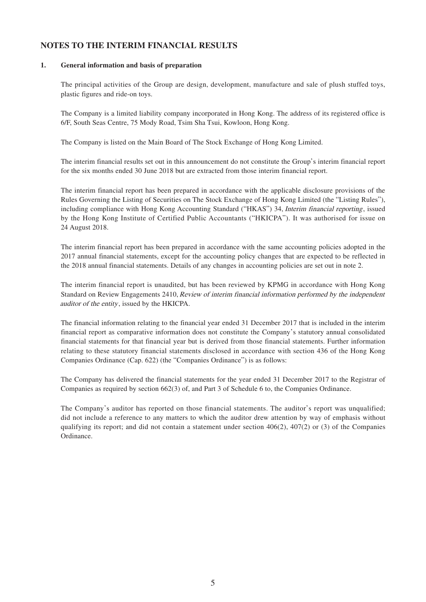# **NOTES TO THE INTERIM FINANCIAL RESULTS**

### **1. General information and basis of preparation**

The principal activities of the Group are design, development, manufacture and sale of plush stuffed toys, plastic figures and ride-on toys.

The Company is a limited liability company incorporated in Hong Kong. The address of its registered office is 6/F, South Seas Centre, 75 Mody Road, Tsim Sha Tsui, Kowloon, Hong Kong.

The Company is listed on the Main Board of The Stock Exchange of Hong Kong Limited.

The interim financial results set out in this announcement do not constitute the Group's interim financial report for the six months ended 30 June 2018 but are extracted from those interim financial report.

The interim financial report has been prepared in accordance with the applicable disclosure provisions of the Rules Governing the Listing of Securities on The Stock Exchange of Hong Kong Limited (the "Listing Rules"), including compliance with Hong Kong Accounting Standard ("HKAS") 34, Interim financial reporting, issued by the Hong Kong Institute of Certified Public Accountants ("HKICPA"). It was authorised for issue on 24 August 2018.

The interim financial report has been prepared in accordance with the same accounting policies adopted in the 2017 annual financial statements, except for the accounting policy changes that are expected to be reflected in the 2018 annual financial statements. Details of any changes in accounting policies are set out in note 2.

The interim financial report is unaudited, but has been reviewed by KPMG in accordance with Hong Kong Standard on Review Engagements 2410, Review of interim financial information performed by the independent auditor of the entity, issued by the HKICPA.

The financial information relating to the financial year ended 31 December 2017 that is included in the interim financial report as comparative information does not constitute the Company's statutory annual consolidated financial statements for that financial year but is derived from those financial statements. Further information relating to these statutory financial statements disclosed in accordance with section 436 of the Hong Kong Companies Ordinance (Cap. 622) (the "Companies Ordinance") is as follows:

The Company has delivered the financial statements for the year ended 31 December 2017 to the Registrar of Companies as required by section 662(3) of, and Part 3 of Schedule 6 to, the Companies Ordinance.

The Company's auditor has reported on those financial statements. The auditor's report was unqualified; did not include a reference to any matters to which the auditor drew attention by way of emphasis without qualifying its report; and did not contain a statement under section  $406(2)$ ,  $407(2)$  or (3) of the Companies Ordinance.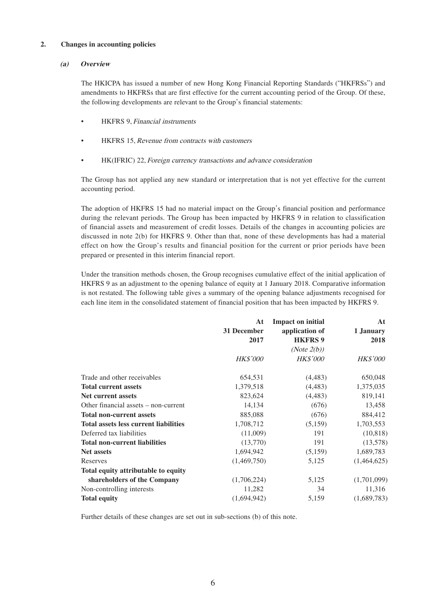### **2. Changes in accounting policies**

### **(a) Overview**

The HKICPA has issued a number of new Hong Kong Financial Reporting Standards ("HKFRSs") and amendments to HKFRSs that are first effective for the current accounting period of the Group. Of these, the following developments are relevant to the Group's financial statements:

- HKFRS 9, Financial instruments
- HKFRS 15, Revenue from contracts with customers
- HK(IFRIC) 22, Foreign currency transactions and advance consideration

The Group has not applied any new standard or interpretation that is not yet effective for the current accounting period.

The adoption of HKFRS 15 had no material impact on the Group's financial position and performance during the relevant periods. The Group has been impacted by HKFRS 9 in relation to classification of financial assets and measurement of credit losses. Details of the changes in accounting policies are discussed in note 2(b) for HKFRS 9. Other than that, none of these developments has had a material effect on how the Group's results and financial position for the current or prior periods have been prepared or presented in this interim financial report.

Under the transition methods chosen, the Group recognises cumulative effect of the initial application of HKFRS 9 as an adjustment to the opening balance of equity at 1 January 2018. Comparative information is not restated. The following table gives a summary of the opening balance adjustments recognised for each line item in the consolidated statement of financial position that has been impacted by HKFRS 9.

|                                              | At              | <b>Impact on initial</b> | At              |
|----------------------------------------------|-----------------|--------------------------|-----------------|
|                                              | 31 December     | application of           | 1 January       |
|                                              | 2017            | <b>HKFRS 9</b>           | 2018            |
|                                              |                 | (Note $2(b)$ )           |                 |
|                                              | <b>HK\$'000</b> | <b>HK\$'000</b>          | <b>HK\$'000</b> |
| Trade and other receivables                  | 654,531         | (4, 483)                 | 650,048         |
| <b>Total current assets</b>                  | 1,379,518       | (4, 483)                 | 1,375,035       |
| <b>Net current assets</b>                    | 823,624         | (4, 483)                 | 819,141         |
| Other financial assets – non-current         | 14,134          | (676)                    | 13,458          |
| <b>Total non-current assets</b>              | 885,088         | (676)                    | 884,412         |
| <b>Total assets less current liabilities</b> | 1,708,712       | (5,159)                  | 1,703,553       |
| Deferred tax liabilities                     | (11,009)        | 191                      | (10, 818)       |
| <b>Total non-current liabilities</b>         | (13,770)        | 191                      | (13,578)        |
| <b>Net assets</b>                            | 1,694,942       | (5,159)                  | 1,689,783       |
| Reserves                                     | (1,469,750)     | 5,125                    | (1,464,625)     |
| Total equity attributable to equity          |                 |                          |                 |
| shareholders of the Company                  | (1,706,224)     | 5,125                    | (1,701,099)     |
| Non-controlling interests                    | 11,282          | 34                       | 11,316          |
| <b>Total equity</b>                          | (1,694,942)     | 5,159                    | (1,689,783)     |

Further details of these changes are set out in sub-sections (b) of this note.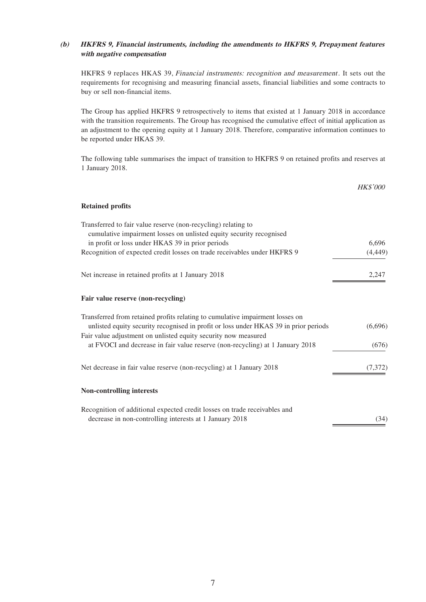### **(b) HKFRS 9, Financial instruments, including the amendments to HKFRS 9, Prepayment features with negative compensation**

HKFRS 9 replaces HKAS 39, Financial instruments: recognition and measurement. It sets out the requirements for recognising and measuring financial assets, financial liabilities and some contracts to buy or sell non-financial items.

The Group has applied HKFRS 9 retrospectively to items that existed at 1 January 2018 in accordance with the transition requirements. The Group has recognised the cumulative effect of initial application as an adjustment to the opening equity at 1 January 2018. Therefore, comparative information continues to be reported under HKAS 39.

The following table summarises the impact of transition to HKFRS 9 on retained profits and reserves at 1 January 2018.

|                                                                                                                                                                       | <b>HK\$'000</b> |
|-----------------------------------------------------------------------------------------------------------------------------------------------------------------------|-----------------|
| <b>Retained profits</b>                                                                                                                                               |                 |
| Transferred to fair value reserve (non-recycling) relating to<br>cumulative impairment losses on unlisted equity security recognised                                  |                 |
| in profit or loss under HKAS 39 in prior periods                                                                                                                      | 6,696           |
| Recognition of expected credit losses on trade receivables under HKFRS 9                                                                                              | (4, 449)        |
| Net increase in retained profits at 1 January 2018                                                                                                                    | 2.247           |
| Fair value reserve (non-recycling)                                                                                                                                    |                 |
| Transferred from retained profits relating to cumulative impairment losses on<br>unlisted equity security recognised in profit or loss under HKAS 39 in prior periods | (6,696)         |
| Fair value adjustment on unlisted equity security now measured<br>at FVOCI and decrease in fair value reserve (non-recycling) at 1 January 2018                       | (676)           |
| Net decrease in fair value reserve (non-recycling) at 1 January 2018                                                                                                  | (7,372)         |
| <b>Non-controlling interests</b>                                                                                                                                      |                 |
| Recognition of additional expected credit losses on trade receivables and<br>decrease in non-controlling interests at 1 January 2018                                  | (34)            |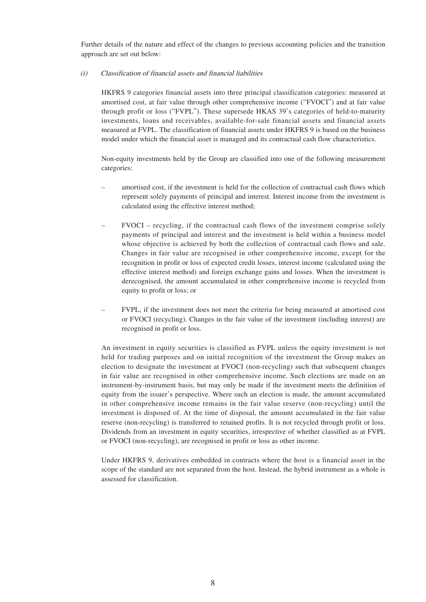Further details of the nature and effect of the changes to previous accounting policies and the transition approach are set out below:

### (i) Classification of financial assets and financial liabilities

HKFRS 9 categories financial assets into three principal classification categories: measured at amortised cost, at fair value through other comprehensive income ("FVOCI") and at fair value through profit or loss ("FVPL"). These supersede HKAS 39's categories of held-to-maturity investments, loans and receivables, available-for-sale financial assets and financial assets measured at FVPL. The classification of financial assets under HKFRS 9 is based on the business model under which the financial asset is managed and its contractual cash flow characteristics.

Non-equity investments held by the Group are classified into one of the following measurement categories:

- amortised cost, if the investment is held for the collection of contractual cash flows which represent solely payments of principal and interest. Interest income from the investment is calculated using the effective interest method;
- FVOCI recycling, if the contractual cash flows of the investment comprise solely payments of principal and interest and the investment is held within a business model whose objective is achieved by both the collection of contractual cash flows and sale. Changes in fair value are recognised in other comprehensive income, except for the recognition in profit or loss of expected credit losses, interest income (calculated using the effective interest method) and foreign exchange gains and losses. When the investment is derecognised, the amount accumulated in other comprehensive income is recycled from equity to profit or loss; or
- FVPL, if the investment does not meet the criteria for being measured at amortised cost or FVOCI (recycling). Changes in the fair value of the investment (including interest) are recognised in profit or loss.

An investment in equity securities is classified as FVPL unless the equity investment is not held for trading purposes and on initial recognition of the investment the Group makes an election to designate the investment at FVOCI (non-recycling) such that subsequent changes in fair value are recognised in other comprehensive income. Such elections are made on an instrument-by-instrument basis, but may only be made if the investment meets the definition of equity from the issuer's perspective. Where such an election is made, the amount accumulated in other comprehensive income remains in the fair value reserve (non-recycling) until the investment is disposed of. At the time of disposal, the amount accumulated in the fair value reserve (non-recycling) is transferred to retained profits. It is not recycled through profit or loss. Dividends from an investment in equity securities, irrespective of whether classified as at FVPL or FVOCI (non-recycling), are recognised in profit or loss as other income.

Under HKFRS 9, derivatives embedded in contracts where the host is a financial asset in the scope of the standard are not separated from the host. Instead, the hybrid instrument as a whole is assessed for classification.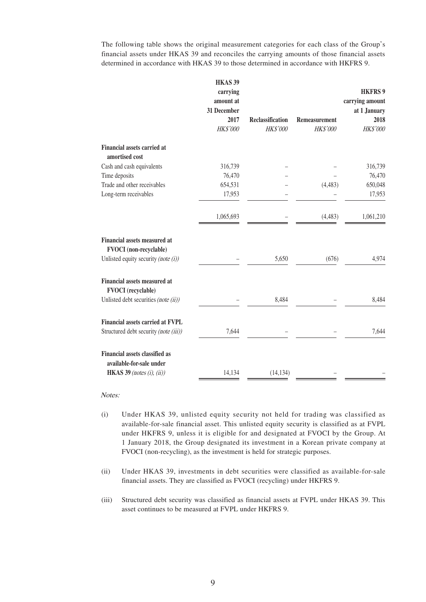The following table shows the original measurement categories for each class of the Group's financial assets under HKAS 39 and reconciles the carrying amounts of those financial assets determined in accordance with HKAS 39 to those determined in accordance with HKFRS 9.

|                                                                      | HKAS <sub>39</sub><br>carrying<br>amount at<br>31 December |                                     |                                  | <b>HKFRS 9</b><br>carrying amount<br>at 1 January |
|----------------------------------------------------------------------|------------------------------------------------------------|-------------------------------------|----------------------------------|---------------------------------------------------|
|                                                                      | 2017<br>HK\$'000                                           | <b>Reclassification</b><br>HK\$'000 | <b>Remeasurement</b><br>HK\$'000 | 2018<br>HK\$'000                                  |
| <b>Financial assets carried at</b><br>amortised cost                 |                                                            |                                     |                                  |                                                   |
| Cash and cash equivalents                                            | 316,739                                                    |                                     |                                  | 316,739                                           |
| Time deposits                                                        | 76,470                                                     |                                     |                                  | 76,470                                            |
| Trade and other receivables                                          | 654,531                                                    |                                     | (4, 483)                         | 650,048                                           |
| Long-term receivables                                                | 17,953                                                     |                                     |                                  | 17,953                                            |
|                                                                      | 1,065,693                                                  |                                     | (4, 483)                         | 1,061,210                                         |
| <b>Financial assets measured at</b><br><b>FVOCI</b> (non-recyclable) |                                                            |                                     |                                  |                                                   |
| Unlisted equity security (note $(i)$ )                               |                                                            | 5,650                               | (676)                            | 4,974                                             |
| Financial assets measured at<br><b>FVOCI</b> (recyclable)            |                                                            |                                     |                                  |                                                   |
| Unlisted debt securities (note (ii))                                 |                                                            | 8,484                               |                                  | 8,484                                             |
| Financial assets carried at FVPL                                     |                                                            |                                     |                                  |                                                   |
| Structured debt security (note (iii))                                | 7,644                                                      |                                     |                                  | 7,644                                             |
| <b>Financial assets classified as</b><br>available-for-sale under    |                                                            |                                     |                                  |                                                   |
| HKAS 39 (notes (i), (ii))                                            | 14,134                                                     | (14, 134)                           |                                  |                                                   |

Notes:

- (i) Under HKAS 39, unlisted equity security not held for trading was classified as available-for-sale financial asset. This unlisted equity security is classified as at FVPL under HKFRS 9, unless it is eligible for and designated at FVOCI by the Group. At 1 January 2018, the Group designated its investment in a Korean private company at FVOCI (non-recycling), as the investment is held for strategic purposes.
- (ii) Under HKAS 39, investments in debt securities were classified as available-for-sale financial assets. They are classified as FVOCI (recycling) under HKFRS 9.
- (iii) Structured debt security was classified as financial assets at FVPL under HKAS 39. This asset continues to be measured at FVPL under HKFRS 9.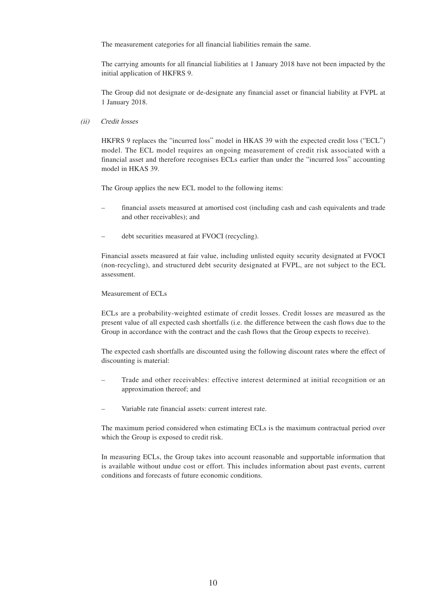The measurement categories for all financial liabilities remain the same.

The carrying amounts for all financial liabilities at 1 January 2018 have not been impacted by the initial application of HKFRS 9.

The Group did not designate or de-designate any financial asset or financial liability at FVPL at 1 January 2018.

#### (ii) Credit losses

HKFRS 9 replaces the "incurred loss" model in HKAS 39 with the expected credit loss ("ECL") model. The ECL model requires an ongoing measurement of credit risk associated with a financial asset and therefore recognises ECLs earlier than under the "incurred loss" accounting model in HKAS 39.

The Group applies the new ECL model to the following items:

- financial assets measured at amortised cost (including cash and cash equivalents and trade and other receivables); and
- debt securities measured at FVOCI (recycling).

Financial assets measured at fair value, including unlisted equity security designated at FVOCI (non-recycling), and structured debt security designated at FVPL, are not subject to the ECL assessment.

#### Measurement of ECLs

ECLs are a probability-weighted estimate of credit losses. Credit losses are measured as the present value of all expected cash shortfalls (i.e. the difference between the cash flows due to the Group in accordance with the contract and the cash flows that the Group expects to receive).

The expected cash shortfalls are discounted using the following discount rates where the effect of discounting is material:

- Trade and other receivables: effective interest determined at initial recognition or an approximation thereof; and
- Variable rate financial assets: current interest rate.

The maximum period considered when estimating ECLs is the maximum contractual period over which the Group is exposed to credit risk.

In measuring ECLs, the Group takes into account reasonable and supportable information that is available without undue cost or effort. This includes information about past events, current conditions and forecasts of future economic conditions.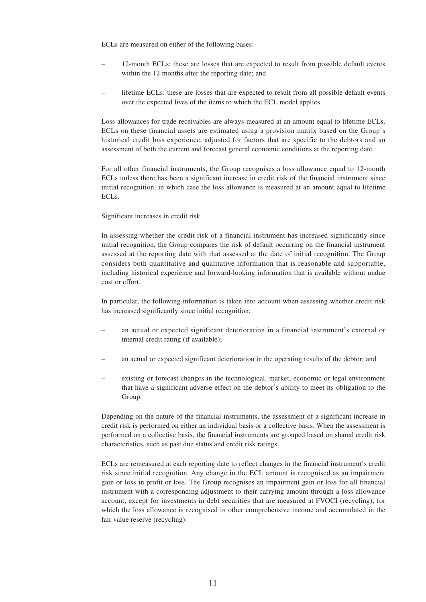ECLs are measured on either of the following bases:

- 12-month ECLs: these are losses that are expected to result from possible default events within the 12 months after the reporting date; and
- lifetime ECLs: these are losses that are expected to result from all possible default events over the expected lives of the items to which the ECL model applies.

Loss allowances for trade receivables are always measured at an amount equal to lifetime ECLs. ECLs on these financial assets are estimated using a provision matrix based on the Group's historical credit loss experience, adjusted for factors that are specific to the debtors and an assessment of both the current and forecast general economic conditions at the reporting date.

For all other financial instruments, the Group recognises a loss allowance equal to 12-month ECLs unless there has been a significant increase in credit risk of the financial instrument since initial recognition, in which case the loss allowance is measured at an amount equal to lifetime ECLs.

#### Significant increases in credit risk

In assessing whether the credit risk of a financial instrument has increased significantly since initial recognition, the Group compares the risk of default occurring on the financial instrument assessed at the reporting date with that assessed at the date of initial recognition. The Group considers both quantitative and qualitative information that is reasonable and supportable, including historical experience and forward-looking information that is available without undue cost or effort.

In particular, the following information is taken into account when assessing whether credit risk has increased significantly since initial recognition;

- an actual or expected significant deterioration in a financial instrument's external or internal credit rating (if available);
- an actual or expected significant deterioration in the operating results of the debtor; and
- existing or forecast changes in the technological, market, economic or legal environment that have a significant adverse effect on the debtor's ability to meet its obligation to the Group.

Depending on the nature of the financial instruments, the assessment of a significant increase in credit risk is performed on either an individual basis or a collective basis. When the assessment is performed on a collective basis, the financial instruments are grouped based on shared credit risk characteristics, such as past due status and credit risk ratings.

ECLs are remeasured at each reporting date to reflect changes in the financial instrument's credit risk since initial recognition. Any change in the ECL amount is recognised as an impairment gain or loss in profit or loss. The Group recognises an impairment gain or loss for all financial instrument with a corresponding adjustment to their carrying amount through a loss allowance account, except for investments in debt securities that are measured at FVOCI (recycling), for which the loss allowance is recognised in other comprehensive income and accumulated in the fair value reserve (recycling).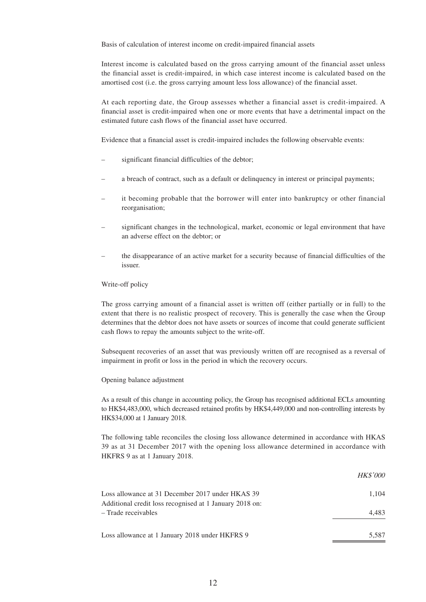Basis of calculation of interest income on credit-impaired financial assets

Interest income is calculated based on the gross carrying amount of the financial asset unless the financial asset is credit-impaired, in which case interest income is calculated based on the amortised cost (i.e. the gross carrying amount less loss allowance) of the financial asset.

At each reporting date, the Group assesses whether a financial asset is credit-impaired. A financial asset is credit-impaired when one or more events that have a detrimental impact on the estimated future cash flows of the financial asset have occurred.

Evidence that a financial asset is credit-impaired includes the following observable events:

- significant financial difficulties of the debtor;
- a breach of contract, such as a default or delinquency in interest or principal payments;
- it becoming probable that the borrower will enter into bankruptcy or other financial reorganisation;
- significant changes in the technological, market, economic or legal environment that have an adverse effect on the debtor; or
- the disappearance of an active market for a security because of financial difficulties of the issuer.

#### Write-off policy

The gross carrying amount of a financial asset is written off (either partially or in full) to the extent that there is no realistic prospect of recovery. This is generally the case when the Group determines that the debtor does not have assets or sources of income that could generate sufficient cash flows to repay the amounts subject to the write-off.

Subsequent recoveries of an asset that was previously written off are recognised as a reversal of impairment in profit or loss in the period in which the recovery occurs.

#### Opening balance adjustment

As a result of this change in accounting policy, the Group has recognised additional ECLs amounting to HK\$4,483,000, which decreased retained profits by HK\$4,449,000 and non-controlling interests by HK\$34,000 at 1 January 2018.

The following table reconciles the closing loss allowance determined in accordance with HKAS 39 as at 31 December 2017 with the opening loss allowance determined in accordance with HKFRS 9 as at 1 January 2018.

|                                                                                                             | <b>HK\$'000</b> |
|-------------------------------------------------------------------------------------------------------------|-----------------|
| Loss allowance at 31 December 2017 under HKAS 39<br>Additional credit loss recognised at 1 January 2018 on: | 1.104           |
| - Trade receivables                                                                                         | 4.483           |
| Loss allowance at 1 January 2018 under HKFRS 9                                                              | 5.587           |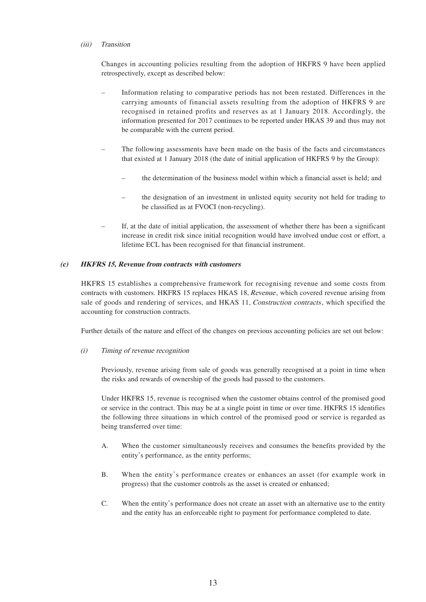### (iii) Transition

Changes in accounting policies resulting from the adoption of HKFRS 9 have been applied retrospectively, except as described below:

- Information relating to comparative periods has not been restated. Differences in the carrying amounts of financial assets resulting from the adoption of HKFRS 9 are recognised in retained profits and reserves as at 1 January 2018. Accordingly, the information presented for 2017 continues to be reported under HKAS 39 and thus may not be comparable with the current period.
- The following assessments have been made on the basis of the facts and circumstances that existed at 1 January 2018 (the date of initial application of HKFRS 9 by the Group):
	- the determination of the business model within which a financial asset is held; and
	- the designation of an investment in unlisted equity security not held for trading to be classified as at FVOCI (non-recycling).
- If, at the date of initial application, the assessment of whether there has been a significant increase in credit risk since initial recognition would have involved undue cost or effort, a lifetime ECL has been recognised for that financial instrument.

### **(c) HKFRS 15, Revenue from contracts with customers**

HKFRS 15 establishes a comprehensive framework for recognising revenue and some costs from contracts with customers. HKFRS 15 replaces HKAS 18, Revenue, which covered revenue arising from sale of goods and rendering of services, and HKAS 11, Construction contracts, which specified the accounting for construction contracts.

Further details of the nature and effect of the changes on previous accounting policies are set out below:

### (i) Timing of revenue recognition

Previously, revenue arising from sale of goods was generally recognised at a point in time when the risks and rewards of ownership of the goods had passed to the customers.

Under HKFRS 15, revenue is recognised when the customer obtains control of the promised good or service in the contract. This may be at a single point in time or over time. HKFRS 15 identifies the following three situations in which control of the promised good or service is regarded as being transferred over time:

- A. When the customer simultaneously receives and consumes the benefits provided by the entity's performance, as the entity performs;
- B. When the entity's performance creates or enhances an asset (for example work in progress) that the customer controls as the asset is created or enhanced;
- C. When the entity's performance does not create an asset with an alternative use to the entity and the entity has an enforceable right to payment for performance completed to date.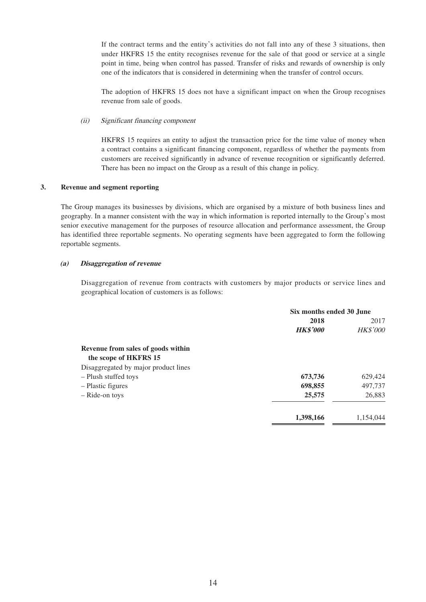If the contract terms and the entity's activities do not fall into any of these 3 situations, then under HKFRS 15 the entity recognises revenue for the sale of that good or service at a single point in time, being when control has passed. Transfer of risks and rewards of ownership is only one of the indicators that is considered in determining when the transfer of control occurs.

The adoption of HKFRS 15 does not have a significant impact on when the Group recognises revenue from sale of goods.

### (ii) Significant financing component

HKFRS 15 requires an entity to adjust the transaction price for the time value of money when a contract contains a significant financing component, regardless of whether the payments from customers are received significantly in advance of revenue recognition or significantly deferred. There has been no impact on the Group as a result of this change in policy.

### **3. Revenue and segment reporting**

The Group manages its businesses by divisions, which are organised by a mixture of both business lines and geography. In a manner consistent with the way in which information is reported internally to the Group's most senior executive management for the purposes of resource allocation and performance assessment, the Group has identified three reportable segments. No operating segments have been aggregated to form the following reportable segments.

### **(a) Disaggregation of revenue**

Disaggregation of revenue from contracts with customers by major products or service lines and geographical location of customers is as follows:

|                                      | Six months ended 30 June |                 |  |
|--------------------------------------|--------------------------|-----------------|--|
|                                      | 2018                     | 2017            |  |
|                                      | <b>HK\$'000</b>          | <b>HK\$'000</b> |  |
| Revenue from sales of goods within   |                          |                 |  |
| the scope of HKFRS 15                |                          |                 |  |
| Disaggregated by major product lines |                          |                 |  |
| - Plush stuffed toys                 | 673,736                  | 629,424         |  |
| - Plastic figures                    | 698,855                  | 497,737         |  |
| - Ride-on toys                       | 25,575                   | 26,883          |  |
|                                      | 1,398,166                | 1,154,044       |  |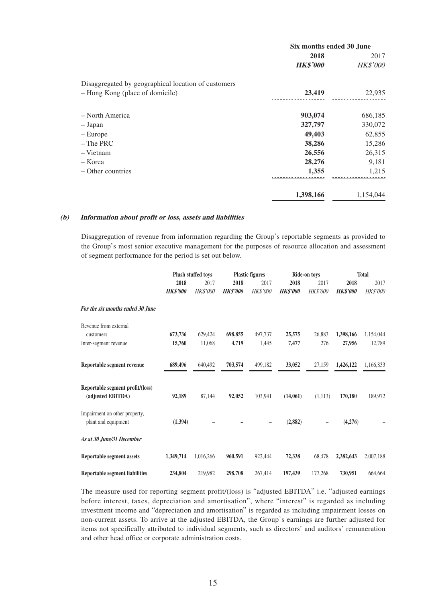|                                                     | Six months ended 30 June |           |  |
|-----------------------------------------------------|--------------------------|-----------|--|
|                                                     | 2018                     | 2017      |  |
|                                                     | <b>HK\$'000</b>          | HK\$'000  |  |
| Disaggregated by geographical location of customers |                          |           |  |
| - Hong Kong (place of domicile)                     | 23,419                   | 22,935    |  |
| - North America                                     | 903,074                  | 686,185   |  |
| - Japan                                             | 327,797                  | 330,072   |  |
| - Europe                                            | 49,403                   | 62,855    |  |
| $-$ The PRC                                         | 38,286                   | 15,286    |  |
| $-$ Vietnam                                         | 26,556                   | 26,315    |  |
| – Korea                                             | 28,276                   | 9,181     |  |
| – Other countries                                   | 1,355                    | 1,215     |  |
|                                                     | 1,398,166                | 1,154,044 |  |

#### **(b) Information about profit or loss, assets and liabilities**

Disaggregation of revenue from information regarding the Group's reportable segments as provided to the Group's most senior executive management for the purposes of resource allocation and assessment of segment performance for the period is set out below.

|                                                       | Plush stuffed toys |                 |                 | <b>Plastic figures</b> |                 | Ride-on toys    |                 | <b>Total</b>    |  |
|-------------------------------------------------------|--------------------|-----------------|-----------------|------------------------|-----------------|-----------------|-----------------|-----------------|--|
|                                                       | 2018               | 2017            | 2018            | 2017                   | 2018            | 2017            | 2018            | 2017            |  |
|                                                       | <b>HK\$'000</b>    | <b>HK\$'000</b> | <b>HK\$'000</b> | <b>HK\$'000</b>        | <b>HK\$'000</b> | <b>HK\$'000</b> | <b>HK\$'000</b> | <b>HK\$'000</b> |  |
| For the six months ended 30 June                      |                    |                 |                 |                        |                 |                 |                 |                 |  |
| Revenue from external                                 |                    |                 |                 |                        |                 |                 |                 |                 |  |
| customers                                             | 673,736            | 629,424         | 698,855         | 497,737                | 25,575          | 26,883          | 1,398,166       | 1,154,044       |  |
| Inter-segment revenue                                 | 15,760             | 11,068          | 4,719           | 1,445                  | 7,477           | 276             | 27,956          | 12,789          |  |
| Reportable segment revenue                            | 689,496            | 640.492         | 703,574         | 499.182                | 33,052          | 27.159          | 1,426,122       | 1,166,833       |  |
| Reportable segment profit/(loss)<br>(adjusted EBITDA) | 92,189             | 87,144          | 92,052          | 103,941                | (14,061)        | (1,113)         | 170,180         | 189,972         |  |
| Impairment on other property,<br>plant and equipment  | (1,394)            |                 |                 |                        | (2,882)         |                 | (4,276)         |                 |  |
| As at 30 June/31 December                             |                    |                 |                 |                        |                 |                 |                 |                 |  |
| <b>Reportable segment assets</b>                      | 1,349,714          | 1,016,266       | 960,591         | 922,444                | 72,338          | 68,478          | 2,382,643       | 2,007,188       |  |
| Reportable segment liabilities                        | 234,804            | 219.982         | 298,708         | 267,414                | 197,439         | 177,268         | 730,951         | 664.664         |  |

The measure used for reporting segment profit/(loss) is "adjusted EBITDA" i.e. "adjusted earnings before interest, taxes, depreciation and amortisation", where "interest" is regarded as including investment income and "depreciation and amortisation" is regarded as including impairment losses on non-current assets. To arrive at the adjusted EBITDA, the Group's earnings are further adjusted for items not specifically attributed to individual segments, such as directors' and auditors' remuneration and other head office or corporate administration costs.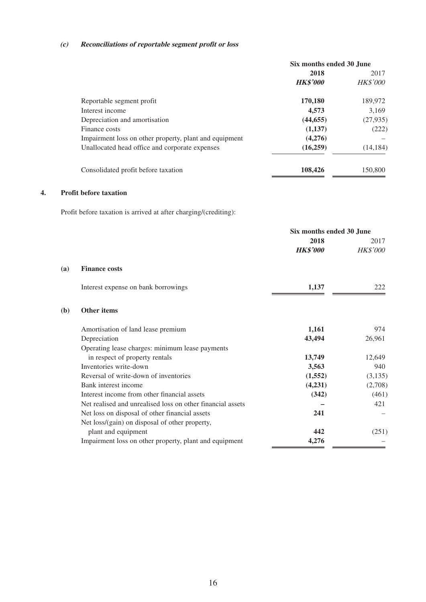### **(c) Reconciliations of reportable segment profit or loss**

|                                                        | Six months ended 30 June |                 |  |
|--------------------------------------------------------|--------------------------|-----------------|--|
|                                                        | 2018                     | 2017            |  |
|                                                        | <b>HK\$'000</b>          | <b>HK\$'000</b> |  |
| Reportable segment profit                              | 170,180                  | 189,972         |  |
| Interest income                                        | 4,573                    | 3.169           |  |
| Depreciation and amortisation                          | (44, 655)                | (27, 935)       |  |
| Finance costs                                          | (1,137)                  | (222)           |  |
| Impairment loss on other property, plant and equipment | (4,276)                  |                 |  |
| Unallocated head office and corporate expenses         | (16,259)                 | (14, 184)       |  |
| Consolidated profit before taxation                    | 108,426                  | 150,800         |  |

### **4. Profit before taxation**

Profit before taxation is arrived at after charging/(crediting):

|                                                            | Six months ended 30 June |                 |
|------------------------------------------------------------|--------------------------|-----------------|
|                                                            | 2018                     | 2017            |
|                                                            | <b>HK\$'000</b>          | <b>HK\$'000</b> |
| (a)<br><b>Finance costs</b>                                |                          |                 |
| Interest expense on bank borrowings                        | 1,137                    | 222             |
| <b>Other items</b><br>(b)                                  |                          |                 |
| Amortisation of land lease premium                         | 1,161                    | 974             |
| Depreciation                                               | 43,494                   | 26,961          |
| Operating lease charges: minimum lease payments            |                          |                 |
| in respect of property rentals                             | 13,749                   | 12,649          |
| Inventories write-down                                     | 3,563                    | 940             |
| Reversal of write-down of inventories                      | (1,552)                  | (3, 135)        |
| Bank interest income                                       | (4,231)                  | (2,708)         |
| Interest income from other financial assets                | (342)                    | (461)           |
| Net realised and unrealised loss on other financial assets |                          | 421             |
| Net loss on disposal of other financial assets             | 241                      |                 |
| Net loss/(gain) on disposal of other property,             |                          |                 |
| plant and equipment                                        | 442                      | (251)           |
| Impairment loss on other property, plant and equipment     | 4,276                    |                 |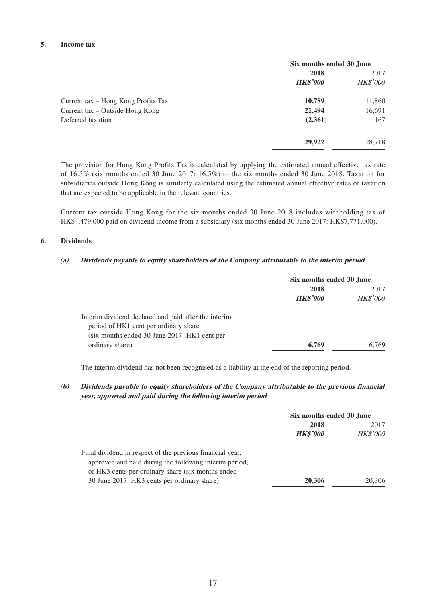### **5. Income tax**

|                                     | Six months ended 30 June |                 |
|-------------------------------------|--------------------------|-----------------|
|                                     | 2018                     | 2017            |
|                                     | <b>HK\$'000</b>          | <b>HK\$'000</b> |
| Current tax – Hong Kong Profits Tax | 10,789                   | 11,860          |
| Current tax – Outside Hong Kong     | 21,494                   | 16,691          |
| Deferred taxation                   | (2,361)                  | 167             |
|                                     | 29,922                   | 28.718          |

The provision for Hong Kong Profits Tax is calculated by applying the estimated annual effective tax rate of 16.5% (six months ended 30 June 2017: 16.5%) to the six months ended 30 June 2018. Taxation for subsidiaries outside Hong Kong is similarly calculated using the estimated annual effective rates of taxation that are expected to be applicable in the relevant countries.

Current tax outside Hong Kong for the six months ended 30 June 2018 includes withholding tax of HK\$4,479,000 paid on dividend income from a subsidiary (six months ended 30 June 2017: HK\$7,771,000).

### **6. Dividends**

#### **(a) Dividends payable to equity shareholders of the Company attributable to the interim period**

|                                                      |                 | Six months ended 30 June |  |
|------------------------------------------------------|-----------------|--------------------------|--|
|                                                      | 2018            | 2017                     |  |
|                                                      | <b>HK\$'000</b> | <b>HK\$'000</b>          |  |
| Interim dividend declared and paid after the interim |                 |                          |  |
| period of HK1 cent per ordinary share                |                 |                          |  |
| (six months ended 30 June 2017: HK1 cent per         |                 |                          |  |
| ordinary share)                                      | 6,769           | 6.769                    |  |

The interim dividend has not been recognised as a liability at the end of the reporting period.

### **(b) Dividends payable to equity shareholders of the Company attributable to the previous financial year, approved and paid during the following interim period**

|                                                           | Six months ended 30 June |                         |
|-----------------------------------------------------------|--------------------------|-------------------------|
|                                                           | 2018<br><b>HK\$'000</b>  | 2017<br><b>HK\$'000</b> |
|                                                           |                          |                         |
| Final dividend in respect of the previous financial year, |                          |                         |
| approved and paid during the following interim period,    |                          |                         |
| of HK3 cents per ordinary share (six months ended)        |                          |                         |
| 30 June 2017: HK3 cents per ordinary share)               | 20,306                   | 20,306                  |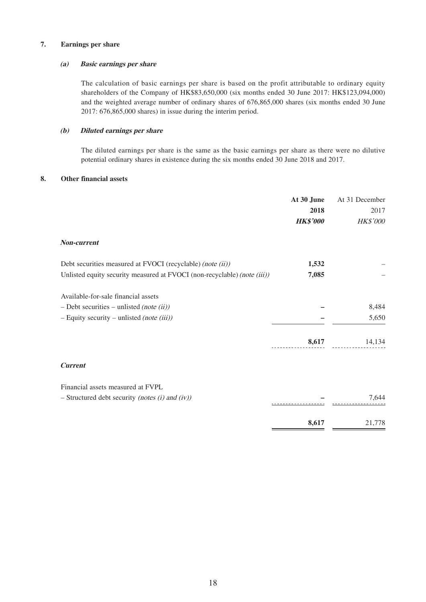### **7. Earnings per share**

### **(a) Basic earnings per share**

The calculation of basic earnings per share is based on the profit attributable to ordinary equity shareholders of the Company of HK\$83,650,000 (six months ended 30 June 2017: HK\$123,094,000) and the weighted average number of ordinary shares of 676,865,000 shares (six months ended 30 June 2017: 676,865,000 shares) in issue during the interim period.

### **(b) Diluted earnings per share**

The diluted earnings per share is the same as the basic earnings per share as there were no dilutive potential ordinary shares in existence during the six months ended 30 June 2018 and 2017.

### **8. Other financial assets**

|                                                                          | At 30 June      | At 31 December |
|--------------------------------------------------------------------------|-----------------|----------------|
|                                                                          | 2018            | 2017           |
|                                                                          | <b>HK\$'000</b> | HK\$'000       |
| <b>Non-current</b>                                                       |                 |                |
| Debt securities measured at FVOCI (recyclable) (note (ii))               | 1,532           |                |
| Unlisted equity security measured at FVOCI (non-recyclable) (note (iii)) | 7,085           |                |
| Available-for-sale financial assets                                      |                 |                |
| $-$ Debt securities – unlisted (note (ii))                               |                 | 8,484          |
| $-$ Equity security – unlisted (note (iii))                              |                 | 5,650          |
|                                                                          | 8,617           | 14,134         |
| <b>Current</b>                                                           |                 |                |
| Financial assets measured at FVPL                                        |                 |                |
| $-$ Structured debt security (notes (i) and (iv))                        |                 | 7,644          |
|                                                                          | 8,617           | 21,778         |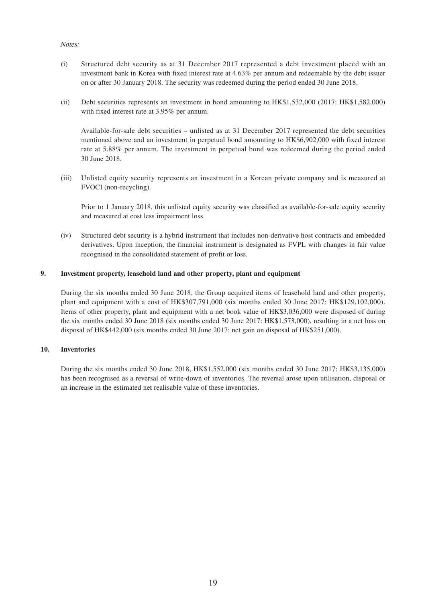### Notes:

- (i) Structured debt security as at 31 December 2017 represented a debt investment placed with an investment bank in Korea with fixed interest rate at 4.63% per annum and redeemable by the debt issuer on or after 30 January 2018. The security was redeemed during the period ended 30 June 2018.
- (ii) Debt securities represents an investment in bond amounting to HK\$1,532,000 (2017: HK\$1,582,000) with fixed interest rate at 3.95% per annum.

Available-for-sale debt securities – unlisted as at 31 December 2017 represented the debt securities mentioned above and an investment in perpetual bond amounting to HK\$6,902,000 with fixed interest rate at 5.88% per annum. The investment in perpetual bond was redeemed during the period ended 30 June 2018.

(iii) Unlisted equity security represents an investment in a Korean private company and is measured at FVOCI (non-recycling).

Prior to 1 January 2018, this unlisted equity security was classified as available-for-sale equity security and measured at cost less impairment loss.

(iv) Structured debt security is a hybrid instrument that includes non-derivative host contracts and embedded derivatives. Upon inception, the financial instrument is designated as FVPL with changes in fair value recognised in the consolidated statement of profit or loss.

### **9. Investment property, leasehold land and other property, plant and equipment**

During the six months ended 30 June 2018, the Group acquired items of leasehold land and other property, plant and equipment with a cost of HK\$307,791,000 (six months ended 30 June 2017: HK\$129,102,000). Items of other property, plant and equipment with a net book value of HK\$3,036,000 were disposed of during the six months ended 30 June 2018 (six months ended 30 June 2017: HK\$1,573,000), resulting in a net loss on disposal of HK\$442,000 (six months ended 30 June 2017: net gain on disposal of HK\$251,000).

### **10. Inventories**

During the six months ended 30 June 2018, HK\$1,552,000 (six months ended 30 June 2017: HK\$3,135,000) has been recognised as a reversal of write-down of inventories. The reversal arose upon utilisation, disposal or an increase in the estimated net realisable value of these inventories.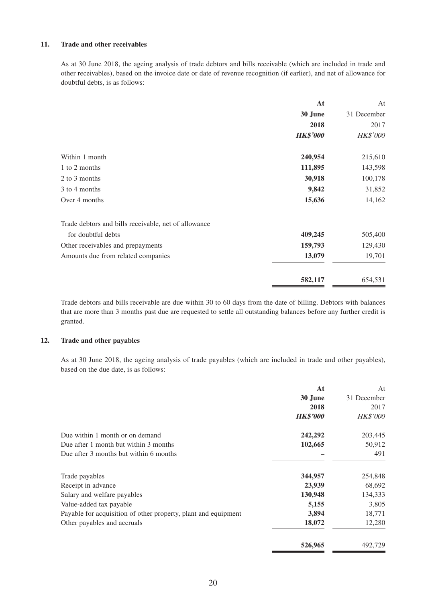### **11. Trade and other receivables**

As at 30 June 2018, the ageing analysis of trade debtors and bills receivable (which are included in trade and other receivables), based on the invoice date or date of revenue recognition (if earlier), and net of allowance for doubtful debts, is as follows:

|                                                      | At              | At              |
|------------------------------------------------------|-----------------|-----------------|
|                                                      | 30 June         | 31 December     |
|                                                      | 2018            | 2017            |
|                                                      | <b>HK\$'000</b> | <b>HK\$'000</b> |
| Within 1 month                                       | 240,954         | 215,610         |
| 1 to 2 months                                        | 111,895         | 143,598         |
| 2 to 3 months                                        | 30,918          | 100,178         |
| 3 to 4 months                                        | 9,842           | 31,852          |
| Over 4 months                                        | 15,636          | 14,162          |
| Trade debtors and bills receivable, net of allowance |                 |                 |
| for doubtful debts                                   | 409,245         | 505,400         |
| Other receivables and prepayments                    | 159,793         | 129,430         |
| Amounts due from related companies                   | 13,079          | 19,701          |
|                                                      | 582,117         | 654,531         |

Trade debtors and bills receivable are due within 30 to 60 days from the date of billing. Debtors with balances that are more than 3 months past due are requested to settle all outstanding balances before any further credit is granted.

### **12. Trade and other payables**

As at 30 June 2018, the ageing analysis of trade payables (which are included in trade and other payables), based on the due date, is as follows:

|                                                                | At              | At              |
|----------------------------------------------------------------|-----------------|-----------------|
|                                                                | 30 June         | 31 December     |
|                                                                | 2018            | 2017            |
|                                                                | <b>HK\$'000</b> | <b>HK\$'000</b> |
| Due within 1 month or on demand                                | 242,292         | 203,445         |
| Due after 1 month but within 3 months                          | 102,665         | 50,912          |
| Due after 3 months but within 6 months                         |                 | 491             |
| Trade payables                                                 | 344,957         | 254,848         |
| Receipt in advance                                             | 23,939          | 68,692          |
| Salary and welfare payables                                    | 130,948         | 134,333         |
| Value-added tax payable                                        | 5,155           | 3,805           |
| Payable for acquisition of other property, plant and equipment | 3,894           | 18,771          |
| Other payables and accruals                                    | 18,072          | 12,280          |
|                                                                | 526,965         | 492,729         |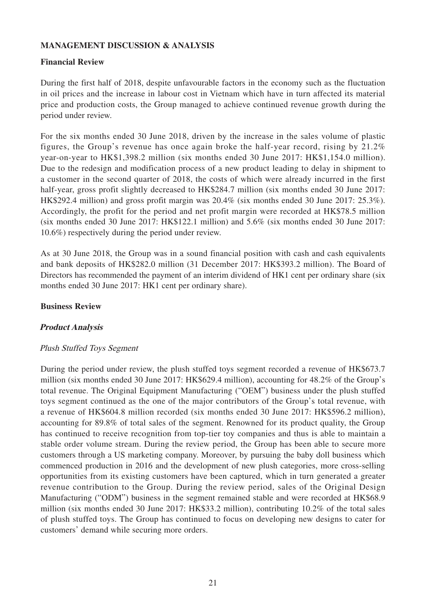# **MANAGEMENT DISCUSSION & ANALYSIS**

## **Financial Review**

During the first half of 2018, despite unfavourable factors in the economy such as the fluctuation in oil prices and the increase in labour cost in Vietnam which have in turn affected its material price and production costs, the Group managed to achieve continued revenue growth during the period under review.

For the six months ended 30 June 2018, driven by the increase in the sales volume of plastic figures, the Group's revenue has once again broke the half-year record, rising by 21.2% year-on-year to HK\$1,398.2 million (six months ended 30 June 2017: HK\$1,154.0 million). Due to the redesign and modification process of a new product leading to delay in shipment to a customer in the second quarter of 2018, the costs of which were already incurred in the first half-year, gross profit slightly decreased to HK\$284.7 million (six months ended 30 June 2017: HK\$292.4 million) and gross profit margin was 20.4% (six months ended 30 June 2017: 25.3%). Accordingly, the profit for the period and net profit margin were recorded at HK\$78.5 million (six months ended 30 June 2017: HK\$122.1 million) and 5.6% (six months ended 30 June 2017: 10.6%) respectively during the period under review.

As at 30 June 2018, the Group was in a sound financial position with cash and cash equivalents and bank deposits of HK\$282.0 million (31 December 2017: HK\$393.2 million). The Board of Directors has recommended the payment of an interim dividend of HK1 cent per ordinary share (six months ended 30 June 2017: HK1 cent per ordinary share).

### **Business Review**

# **Product Analysis**

### Plush Stuffed Toys Segment

During the period under review, the plush stuffed toys segment recorded a revenue of HK\$673.7 million (six months ended 30 June 2017: HK\$629.4 million), accounting for 48.2% of the Group's total revenue. The Original Equipment Manufacturing ("OEM") business under the plush stuffed toys segment continued as the one of the major contributors of the Group's total revenue, with a revenue of HK\$604.8 million recorded (six months ended 30 June 2017: HK\$596.2 million), accounting for 89.8% of total sales of the segment. Renowned for its product quality, the Group has continued to receive recognition from top-tier toy companies and thus is able to maintain a stable order volume stream. During the review period, the Group has been able to secure more customers through a US marketing company. Moreover, by pursuing the baby doll business which commenced production in 2016 and the development of new plush categories, more cross-selling opportunities from its existing customers have been captured, which in turn generated a greater revenue contribution to the Group. During the review period, sales of the Original Design Manufacturing ("ODM") business in the segment remained stable and were recorded at HK\$68.9 million (six months ended 30 June 2017: HK\$33.2 million), contributing 10.2% of the total sales of plush stuffed toys. The Group has continued to focus on developing new designs to cater for customers' demand while securing more orders.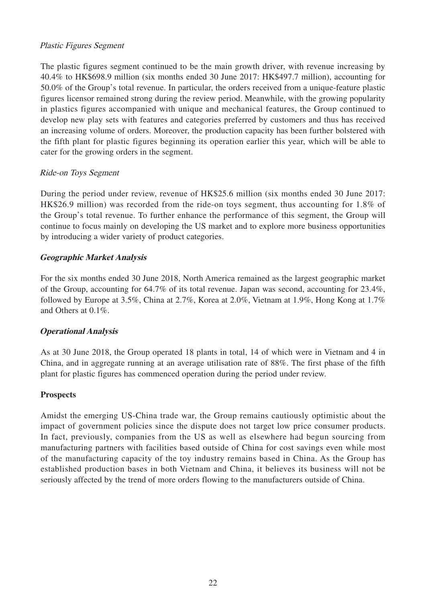# Plastic Figures Segment

The plastic figures segment continued to be the main growth driver, with revenue increasing by 40.4% to HK\$698.9 million (six months ended 30 June 2017: HK\$497.7 million), accounting for 50.0% of the Group's total revenue. In particular, the orders received from a unique-feature plastic figures licensor remained strong during the review period. Meanwhile, with the growing popularity in plastics figures accompanied with unique and mechanical features, the Group continued to develop new play sets with features and categories preferred by customers and thus has received an increasing volume of orders. Moreover, the production capacity has been further bolstered with the fifth plant for plastic figures beginning its operation earlier this year, which will be able to cater for the growing orders in the segment.

# Ride-on Toys Segment

During the period under review, revenue of HK\$25.6 million (six months ended 30 June 2017: HK\$26.9 million) was recorded from the ride-on toys segment, thus accounting for 1.8% of the Group's total revenue. To further enhance the performance of this segment, the Group will continue to focus mainly on developing the US market and to explore more business opportunities by introducing a wider variety of product categories.

# **Geographic Market Analysis**

For the six months ended 30 June 2018, North America remained as the largest geographic market of the Group, accounting for 64.7% of its total revenue. Japan was second, accounting for 23.4%, followed by Europe at 3.5%, China at 2.7%, Korea at 2.0%, Vietnam at 1.9%, Hong Kong at 1.7% and Others at 0.1%.

# **Operational Analysis**

As at 30 June 2018, the Group operated 18 plants in total, 14 of which were in Vietnam and 4 in China, and in aggregate running at an average utilisation rate of 88%. The first phase of the fifth plant for plastic figures has commenced operation during the period under review.

# **Prospects**

Amidst the emerging US-China trade war, the Group remains cautiously optimistic about the impact of government policies since the dispute does not target low price consumer products. In fact, previously, companies from the US as well as elsewhere had begun sourcing from manufacturing partners with facilities based outside of China for cost savings even while most of the manufacturing capacity of the toy industry remains based in China. As the Group has established production bases in both Vietnam and China, it believes its business will not be seriously affected by the trend of more orders flowing to the manufacturers outside of China.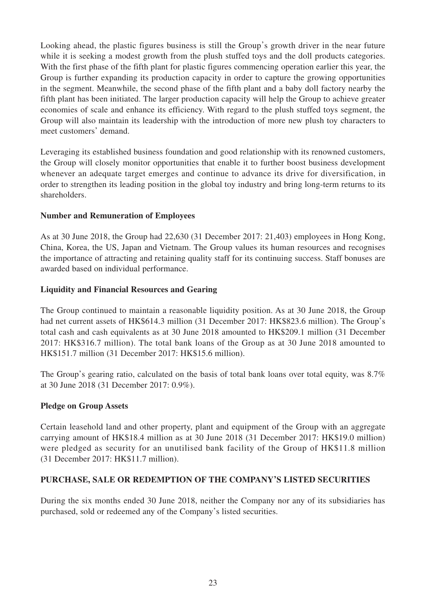Looking ahead, the plastic figures business is still the Group's growth driver in the near future while it is seeking a modest growth from the plush stuffed toys and the doll products categories. With the first phase of the fifth plant for plastic figures commencing operation earlier this year, the Group is further expanding its production capacity in order to capture the growing opportunities in the segment. Meanwhile, the second phase of the fifth plant and a baby doll factory nearby the fifth plant has been initiated. The larger production capacity will help the Group to achieve greater economies of scale and enhance its efficiency. With regard to the plush stuffed toys segment, the Group will also maintain its leadership with the introduction of more new plush toy characters to meet customers' demand.

Leveraging its established business foundation and good relationship with its renowned customers, the Group will closely monitor opportunities that enable it to further boost business development whenever an adequate target emerges and continue to advance its drive for diversification, in order to strengthen its leading position in the global toy industry and bring long-term returns to its shareholders.

# **Number and Remuneration of Employees**

As at 30 June 2018, the Group had 22,630 (31 December 2017: 21,403) employees in Hong Kong, China, Korea, the US, Japan and Vietnam. The Group values its human resources and recognises the importance of attracting and retaining quality staff for its continuing success. Staff bonuses are awarded based on individual performance.

# **Liquidity and Financial Resources and Gearing**

The Group continued to maintain a reasonable liquidity position. As at 30 June 2018, the Group had net current assets of HK\$614.3 million (31 December 2017: HK\$823.6 million). The Group's total cash and cash equivalents as at 30 June 2018 amounted to HK\$209.1 million (31 December 2017: HK\$316.7 million). The total bank loans of the Group as at 30 June 2018 amounted to HK\$151.7 million (31 December 2017: HK\$15.6 million).

The Group's gearing ratio, calculated on the basis of total bank loans over total equity, was 8.7% at 30 June 2018 (31 December 2017: 0.9%).

# **Pledge on Group Assets**

Certain leasehold land and other property, plant and equipment of the Group with an aggregate carrying amount of HK\$18.4 million as at 30 June 2018 (31 December 2017: HK\$19.0 million) were pledged as security for an unutilised bank facility of the Group of HK\$11.8 million (31 December 2017: HK\$11.7 million).

# **PURCHASE, SALE OR REDEMPTION OF THE COMPANY'S LISTED SECURITIES**

During the six months ended 30 June 2018, neither the Company nor any of its subsidiaries has purchased, sold or redeemed any of the Company's listed securities.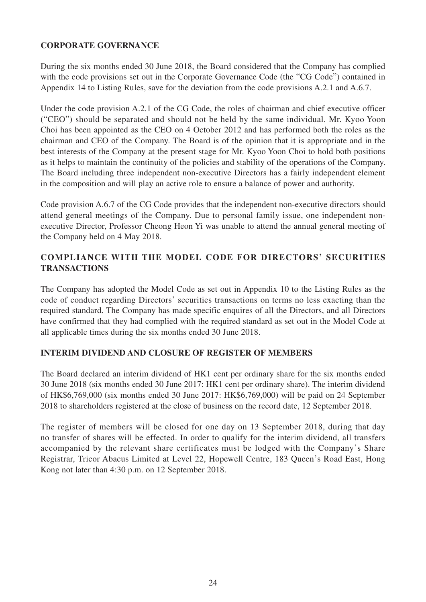# **CORPORATE GOVERNANCE**

During the six months ended 30 June 2018, the Board considered that the Company has complied with the code provisions set out in the Corporate Governance Code (the "CG Code") contained in Appendix 14 to Listing Rules, save for the deviation from the code provisions A.2.1 and A.6.7.

Under the code provision A.2.1 of the CG Code, the roles of chairman and chief executive officer ("CEO") should be separated and should not be held by the same individual. Mr. Kyoo Yoon Choi has been appointed as the CEO on 4 October 2012 and has performed both the roles as the chairman and CEO of the Company. The Board is of the opinion that it is appropriate and in the best interests of the Company at the present stage for Mr. Kyoo Yoon Choi to hold both positions as it helps to maintain the continuity of the policies and stability of the operations of the Company. The Board including three independent non-executive Directors has a fairly independent element in the composition and will play an active role to ensure a balance of power and authority.

Code provision A.6.7 of the CG Code provides that the independent non-executive directors should attend general meetings of the Company. Due to personal family issue, one independent nonexecutive Director, Professor Cheong Heon Yi was unable to attend the annual general meeting of the Company held on 4 May 2018.

# **COMPLIANCE WITH THE MODEL CODE FOR DIRECTORS' SECURITIES TRANSACTIONS**

The Company has adopted the Model Code as set out in Appendix 10 to the Listing Rules as the code of conduct regarding Directors' securities transactions on terms no less exacting than the required standard. The Company has made specific enquires of all the Directors, and all Directors have confirmed that they had complied with the required standard as set out in the Model Code at all applicable times during the six months ended 30 June 2018.

# **INTERIM DIVIDEND AND CLOSURE OF REGISTER OF MEMBERS**

The Board declared an interim dividend of HK1 cent per ordinary share for the six months ended 30 June 2018 (six months ended 30 June 2017: HK1 cent per ordinary share). The interim dividend of HK\$6,769,000 (six months ended 30 June 2017: HK\$6,769,000) will be paid on 24 September 2018 to shareholders registered at the close of business on the record date, 12 September 2018.

The register of members will be closed for one day on 13 September 2018, during that day no transfer of shares will be effected. In order to qualify for the interim dividend, all transfers accompanied by the relevant share certificates must be lodged with the Company's Share Registrar, Tricor Abacus Limited at Level 22, Hopewell Centre, 183 Queen's Road East, Hong Kong not later than 4:30 p.m. on 12 September 2018.